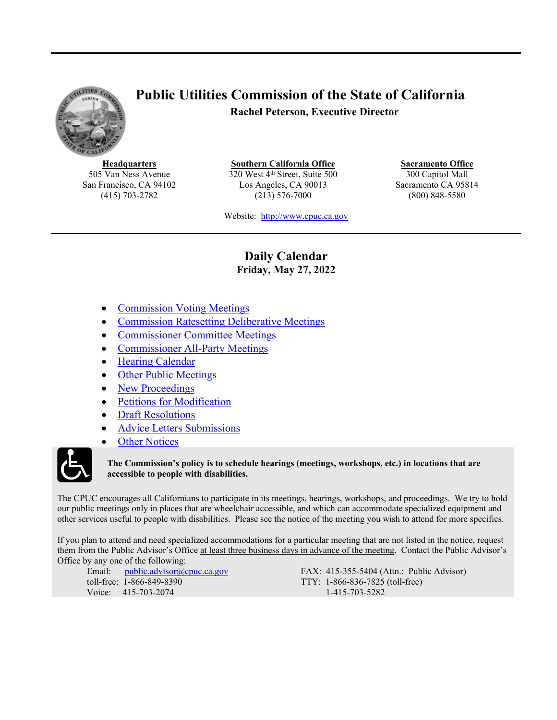<span id="page-0-1"></span>

# **Public Utilities Commission of the State of California Rachel Peterson, Executive Director**

**Headquarters** 505 Van Ness Avenue San Francisco, CA 94102 (415) 703-2782

**Southern California Office** 320 West 4<sup>th</sup> Street, Suite 500 Los Angeles, CA 90013 (213) 576-7000

**Sacramento Office** 300 Capitol Mall Sacramento CA 95814 (800) 848-5580

Website: [http://www.cpuc.ca.gov](file://gc5filesrv231/VDI-AppData/CW4/AppData/Roaming/OpenText/OTEdit/cs_cpuc_ca_gov-otcs/c323758965/www.cpuc.ca.gov)

### **Daily Calendar Friday, May 27, 2022**

- <span id="page-0-0"></span>[Commission](#page-1-0) Voting Meeting[s](#page-1-0)
- [Commission](#page-1-1) Ratesetting Deliberati[ve](#page-1-2) Meeting[s](#page-1-1)
- [Commissioner](#page-1-2) Committee Meetings
- [Commissioner](#page-1-3) All-Party Meetings
- Hearing [Calendar](#page-1-4)
- Other Public [Meetings](#page-5-0)
- New [Proceedings](#page-7-0)
- Petitions for [Modification](#page-7-1)
- Draft [Resolutions](#page-7-2)
- Advice Letters [Submissions](#page-10-0)
- Other [Notices](#page-10-1)



#### **The Commission's policy is to schedule hearings (meetings, workshops, etc.) in locations that are accessible to people with disabilities.**

The CPUC encourages all Californians to participate in its meetings, hearings, workshops, and proceedings. We try to hold our public meetings only in places that are wheelchair accessible, and which can accommodate specialized equipment and other services useful to people with disabilities. Please see the notice of the meeting you wish to attend for more specifics.

If you plan to attend and need specialized accommodations for a particular meeting that are not listed in the notice, request them from the Public Advisor's Office at least three business days in advance of the meeting. Contact the Public Advisor's Office by any one of the following:

Email: [public.advisor@cpuc.ca.gov](file://gc5filesrv231/VDI-AppData/CW4/AppData/Roaming/OpenText/OTEdit/cs_cpuc_ca_gov-otcs/c323758965/public.advisor@cpuc.ca.gov) toll-free: 1-866-849-8390 Voice: 415-703-2074

FAX: 415-355-5404 (Attn.: Public Advisor) TTY: 1-866-836-7825 (toll-free) 1-415-703-5282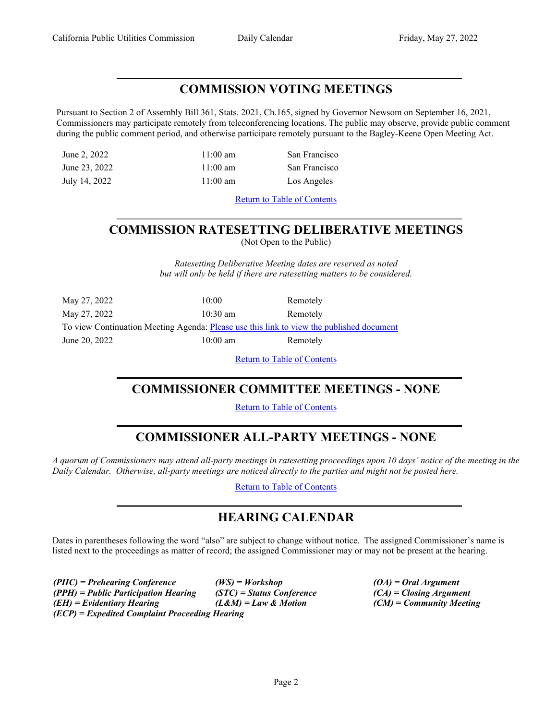## <span id="page-1-0"></span>**COMMISSION VOTING MEETINGS**

Pursuant to Section 2 of Assembly Bill 361, Stats. 2021, Ch.165, signed by Governor Newsom on September 16, 2021, Commissioners may participate remotely from teleconferencing locations. The public may observe, provide public comment during the public comment period, and otherwise participate remotely pursuant to the Bagley-Keene Open Meeting Act.

June 2, 2022 11:00 am San Francisco June 23, 2022 11:00 am San Francisco July 14, 2022 11:00 am Los Angeles

Return to Table of [Contents](#page-0-0)

# <span id="page-1-1"></span>**COMMISSION RATESETTING DELIBERATIVE MEETINGS**

(Not Open to the Public)

*Ratesetting Deliberative Meeting dates are reserved as noted but will only be held if there are ratesetting matters to be considered.*

| May 27, 2022                                                                             | 10:00              | Remotely |
|------------------------------------------------------------------------------------------|--------------------|----------|
| May 27, 2022                                                                             | $10:30 \text{ am}$ | Remotely |
| To view Continuation Meeting Agenda: Please use this link to view the published document |                    |          |
| June 20, 2022                                                                            | $10:00 \text{ am}$ | Remotely |

Return to Table of [Contents](#page-0-1)

### <span id="page-1-2"></span>**COMMISSIONER COMMITTEE MEETINGS - NONE**

Return to Table of [Contents](#page-0-0)

# <span id="page-1-3"></span>**COMMISSIONER ALL-PARTY MEETINGS - NONE**

A quorum of Commissioners may attend all-party meetings in ratesetting proceedings upon 10 days' notice of the meeting in the *Daily Calendar. Otherwise, all-party meetings are noticed directly to the parties and might not be posted here.*

Return to Table of [Contents](#page-0-0)

# <span id="page-1-4"></span>**HEARING CALENDAR**

Dates in parentheses following the word "also" are subject to change without notice. The assigned Commissioner's name is listed next to the proceedings as matter of record; the assigned Commissioner may or may not be present at the hearing.

*(PHC) = Prehearing Conference (WS) = Workshop (OA) = Oral Argument (PPH) = Public Participation Hearing (STC) = Status Conference (CA) = Closing Argument (EH) = Evidentiary Hearing (L&M) = Law & Motion (CM) = Community Meeting (ECP) = Expedited Complaint Proceeding Hearing*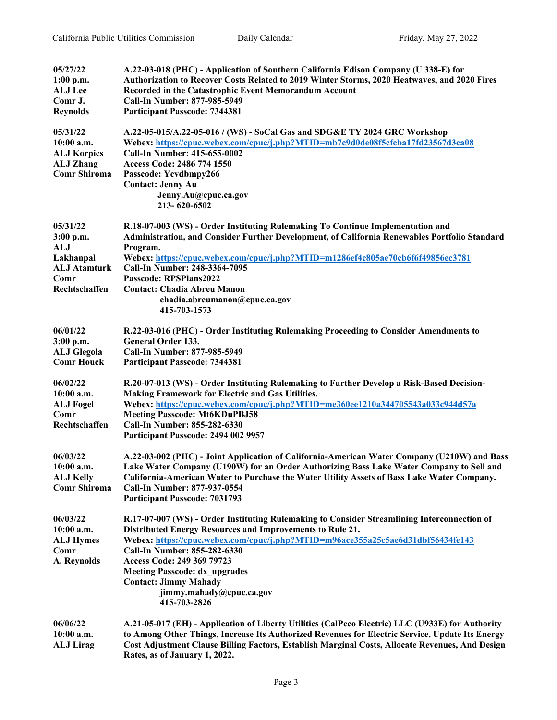| 05/27/22            | A.22-03-018 (PHC) - Application of Southern California Edison Company (U 338-E) for              |
|---------------------|--------------------------------------------------------------------------------------------------|
| $1:00$ p.m.         | Authorization to Recover Costs Related to 2019 Winter Storms, 2020 Heatwaves, and 2020 Fires     |
| <b>ALJ Lee</b>      | Recorded in the Catastrophic Event Memorandum Account                                            |
| Comr J.             | Call-In Number: 877-985-5949                                                                     |
| <b>Reynolds</b>     | <b>Participant Passcode: 7344381</b>                                                             |
| 05/31/22            | A.22-05-015/A.22-05-016 / (WS) - SoCal Gas and SDG&E TY 2024 GRC Workshop                        |
| 10:00 a.m.          | Webex: https://cpuc.webex.com/cpuc/j.php?MTID=mb7c9d0de08f5cfcba17fd23567d3ca08                  |
| <b>ALJ Korpics</b>  | Call-In Number: 415-655-0002                                                                     |
| <b>ALJ Zhang</b>    | Access Code: 2486 774 1550                                                                       |
| <b>Comr Shiroma</b> | Passcode: Ycvdbmpy266                                                                            |
|                     | <b>Contact: Jenny Au</b>                                                                         |
|                     | Jenny.Au@cpuc.ca.gov                                                                             |
|                     | 213-620-6502                                                                                     |
| 05/31/22            | R.18-07-003 (WS) - Order Instituting Rulemaking To Continue Implementation and                   |
| 3:00 p.m.           | Administration, and Consider Further Development, of California Renewables Portfolio Standard    |
| ALJ                 | Program.                                                                                         |
| Lakhanpal           | Webex: https://cpuc.webex.com/cpuc/j.php?MTID=m1286ef4c805ae70cb6f6f49856ec3781                  |
| <b>ALJ Atamturk</b> | Call-In Number: 248-3364-7095                                                                    |
| Comr                | Passcode: RPSPlans2022                                                                           |
| Rechtschaffen       | <b>Contact: Chadia Abreu Manon</b>                                                               |
|                     | chadia.abreumanon@cpuc.ca.gov<br>415-703-1573                                                    |
|                     |                                                                                                  |
| 06/01/22            | R.22-03-016 (PHC) - Order Instituting Rulemaking Proceeding to Consider Amendments to            |
| 3:00 p.m.           | General Order 133.                                                                               |
| <b>ALJ Glegola</b>  | Call-In Number: 877-985-5949                                                                     |
| <b>Comr Houck</b>   | <b>Participant Passcode: 7344381</b>                                                             |
| 06/02/22            | R.20-07-013 (WS) - Order Instituting Rulemaking to Further Develop a Risk-Based Decision-        |
| $10:00$ a.m.        | Making Framework for Electric and Gas Utilities.                                                 |
| <b>ALJ</b> Fogel    | Webex: https://cpuc.webex.com/cpuc/j.php?MTID=me360ee1210a344705543a033c944d57a                  |
| Comr                | <b>Meeting Passcode: Mt6KDuPBJ58</b>                                                             |
| Rechtschaffen       | Call-In Number: 855-282-6330                                                                     |
|                     | Participant Passcode: 2494 002 9957                                                              |
| 06/03/22            | A.22-03-002 (PHC) - Joint Application of California-American Water Company (U210W) and Bass      |
| 10:00 a.m.          | Lake Water Company (U190W) for an Order Authorizing Bass Lake Water Company to Sell and          |
| <b>ALJ Kelly</b>    | California-American Water to Purchase the Water Utility Assets of Bass Lake Water Company.       |
| <b>Comr Shiroma</b> | Call-In Number: 877-937-0554                                                                     |
|                     | <b>Participant Passcode: 7031793</b>                                                             |
| 06/03/22            | R.17-07-007 (WS) - Order Instituting Rulemaking to Consider Streamlining Interconnection of      |
| 10:00 a.m.          | Distributed Energy Resources and Improvements to Rule 21.                                        |
| <b>ALJ Hymes</b>    | Webex: https://cpuc.webex.com/cpuc/j.php?MTID=m96ace355a25c5ae6d31dbf56434fe143                  |
| Comr                | Call-In Number: 855-282-6330                                                                     |
| A. Reynolds         | Access Code: 249 369 79723                                                                       |
|                     | <b>Meeting Passcode: dx upgrades</b>                                                             |
|                     | <b>Contact: Jimmy Mahady</b>                                                                     |
|                     | jimmy.mahady@cpuc.ca.gov                                                                         |
|                     | 415-703-2826                                                                                     |
| 06/06/22            | A.21-05-017 (EH) - Application of Liberty Utilities (CalPeco Electric) LLC (U933E) for Authority |
| $10:00$ a.m.        | to Among Other Things, Increase Its Authorized Revenues for Electric Service, Update Its Energy  |
| <b>ALJ Lirag</b>    | Cost Adjustment Clause Billing Factors, Establish Marginal Costs, Allocate Revenues, And Design  |
|                     | Rates, as of January 1, 2022.                                                                    |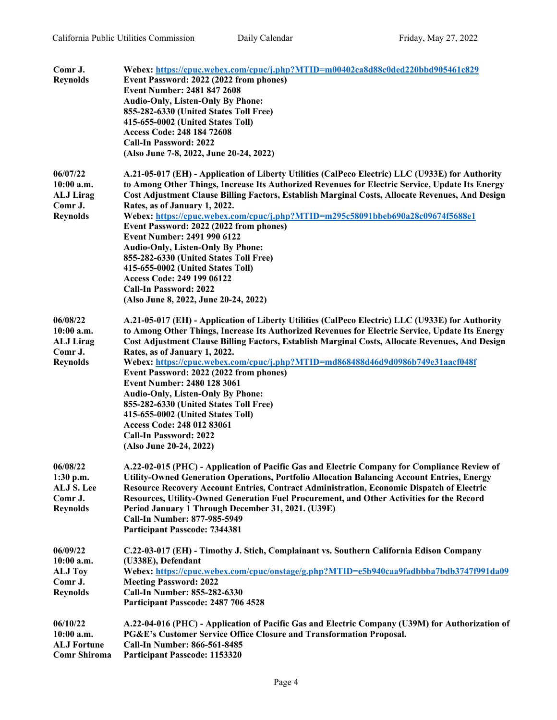| Comr J.<br><b>Reynolds</b>                                               | Webex: https://cpuc.webex.com/cpuc/j.php?MTID=m00402ca8d88c0ded220bbd905461c829<br>Event Password: 2022 (2022 from phones)<br><b>Event Number: 2481 847 2608</b><br><b>Audio-Only, Listen-Only By Phone:</b><br>855-282-6330 (United States Toll Free)<br>415-655-0002 (United States Toll)<br>Access Code: 248 184 72608<br><b>Call-In Password: 2022</b><br>(Also June 7-8, 2022, June 20-24, 2022)                                                                                                                                                                                                                                                                                                                                   |
|--------------------------------------------------------------------------|-----------------------------------------------------------------------------------------------------------------------------------------------------------------------------------------------------------------------------------------------------------------------------------------------------------------------------------------------------------------------------------------------------------------------------------------------------------------------------------------------------------------------------------------------------------------------------------------------------------------------------------------------------------------------------------------------------------------------------------------|
| 06/07/22<br>10:00 a.m.<br><b>ALJ</b> Lirag<br>Comr J.<br><b>Reynolds</b> | A.21-05-017 (EH) - Application of Liberty Utilities (CalPeco Electric) LLC (U933E) for Authority<br>to Among Other Things, Increase Its Authorized Revenues for Electric Service, Update Its Energy<br>Cost Adjustment Clause Billing Factors, Establish Marginal Costs, Allocate Revenues, And Design<br>Rates, as of January 1, 2022.<br>Webex: https://cpuc.webex.com/cpuc/j.php?MTID=m295c58091bbeb690a28c09674f5688e1<br>Event Password: 2022 (2022 from phones)<br>Event Number: 2491 990 6122<br><b>Audio-Only, Listen-Only By Phone:</b><br>855-282-6330 (United States Toll Free)<br>415-655-0002 (United States Toll)<br>Access Code: 249 199 06122<br><b>Call-In Password: 2022</b><br>(Also June 8, 2022, June 20-24, 2022) |
| 06/08/22<br>10:00 a.m.<br><b>ALJ Lirag</b><br>Comr J.<br><b>Reynolds</b> | A.21-05-017 (EH) - Application of Liberty Utilities (CalPeco Electric) LLC (U933E) for Authority<br>to Among Other Things, Increase Its Authorized Revenues for Electric Service, Update Its Energy<br>Cost Adjustment Clause Billing Factors, Establish Marginal Costs, Allocate Revenues, And Design<br>Rates, as of January 1, 2022.<br>Webex: https://cpuc.webex.com/cpuc/j.php?MTID=md868488d46d9d0986b749e31aacf048f<br>Event Password: 2022 (2022 from phones)<br><b>Event Number: 2480 128 3061</b><br><b>Audio-Only, Listen-Only By Phone:</b><br>855-282-6330 (United States Toll Free)<br>415-655-0002 (United States Toll)<br>Access Code: 248 012 83061<br><b>Call-In Password: 2022</b><br>(Also June 20-24, 2022)        |
| 06/08/22<br>1:30 p.m.<br>ALJ S. Lee<br>Comr J.<br><b>Reynolds</b>        | A.22-02-015 (PHC) - Application of Pacific Gas and Electric Company for Compliance Review of<br>Utility-Owned Generation Operations, Portfolio Allocation Balancing Account Entries, Energy<br>Resource Recovery Account Entries, Contract Administration, Economic Dispatch of Electric<br>Resources, Utility-Owned Generation Fuel Procurement, and Other Activities for the Record<br>Period January 1 Through December 31, 2021. (U39E)<br>Call-In Number: 877-985-5949<br><b>Participant Passcode: 7344381</b>                                                                                                                                                                                                                     |
| 06/09/22<br>$10:00$ a.m.<br><b>ALJ Toy</b><br>Comr J.<br><b>Reynolds</b> | C.22-03-017 (EH) - Timothy J. Stich, Complainant vs. Southern California Edison Company<br>(U338E), Defendant<br>Webex: https://cpuc.webex.com/cpuc/onstage/g.php?MTID=e5b940caa9fadbbba7bdb3747f991da09<br><b>Meeting Password: 2022</b><br>Call-In Number: 855-282-6330<br>Participant Passcode: 2487 706 4528                                                                                                                                                                                                                                                                                                                                                                                                                        |
| 06/10/22<br>$10:00$ a.m.<br><b>ALJ</b> Fortune<br><b>Comr Shiroma</b>    | A.22-04-016 (PHC) - Application of Pacific Gas and Electric Company (U39M) for Authorization of<br>PG&E's Customer Service Office Closure and Transformation Proposal.<br>Call-In Number: 866-561-8485<br>Participant Passcode: 1153320                                                                                                                                                                                                                                                                                                                                                                                                                                                                                                 |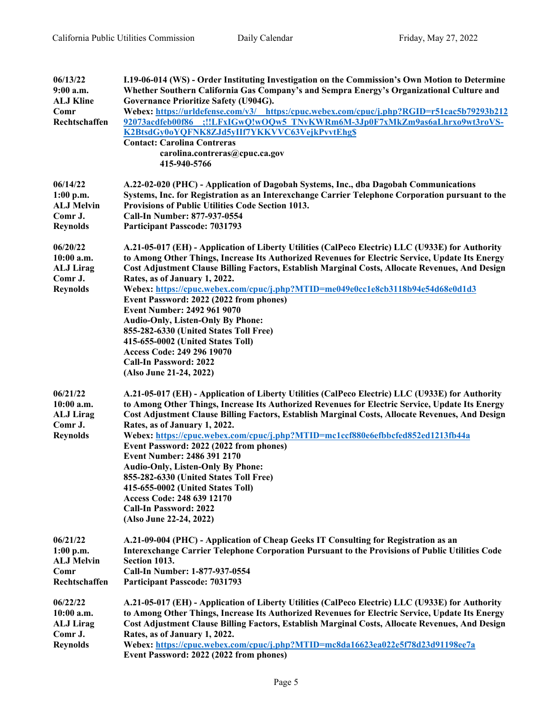| 06/13/22                       | I.19-06-014 (WS) - Order Instituting Investigation on the Commission's Own Motion to Determine                                                                                                     |
|--------------------------------|----------------------------------------------------------------------------------------------------------------------------------------------------------------------------------------------------|
| $9:00$ a.m.                    | Whether Southern California Gas Company's and Sempra Energy's Organizational Culture and                                                                                                           |
| <b>ALJ Kline</b>               | Governance Prioritize Safety (U904G).                                                                                                                                                              |
| Comr<br>Rechtschaffen          | Webex: https://urldefense.com/v3/ https:/cpuc.webex.com/cpuc/j.php?RGID=r51cac5b79293b212                                                                                                          |
|                                | 92073acdfeb00f86 :!!LFxIGwQ!wOQw5 TNvKWRm6M-3Jp0F7xMkZm9as6aLhrxo9wt3roVS-<br>K2BtsdGy0oYQFNK8ZJd5yIIf7YKKVVC63VejkPvvtEhg\$                                                                       |
|                                | <b>Contact: Carolina Contreras</b>                                                                                                                                                                 |
|                                | carolina.contreras@cpuc.ca.gov                                                                                                                                                                     |
|                                | 415-940-5766                                                                                                                                                                                       |
| 06/14/22                       | A.22-02-020 (PHC) - Application of Dagobah Systems, Inc., dba Dagobah Communications                                                                                                               |
| $1:00$ p.m.                    | Systems, Inc. for Registration as an Interexchange Carrier Telephone Corporation pursuant to the                                                                                                   |
| <b>ALJ Melvin</b>              | Provisions of Public Utilities Code Section 1013.                                                                                                                                                  |
| Comr J.                        | Call-In Number: 877-937-0554                                                                                                                                                                       |
| <b>Reynolds</b>                | <b>Participant Passcode: 7031793</b>                                                                                                                                                               |
|                                |                                                                                                                                                                                                    |
| 06/20/22                       | A.21-05-017 (EH) - Application of Liberty Utilities (CalPeco Electric) LLC (U933E) for Authority                                                                                                   |
| 10:00 a.m.<br><b>ALJ</b> Lirag | to Among Other Things, Increase Its Authorized Revenues for Electric Service, Update Its Energy<br>Cost Adjustment Clause Billing Factors, Establish Marginal Costs, Allocate Revenues, And Design |
| Comr J.                        | Rates, as of January 1, 2022.                                                                                                                                                                      |
| <b>Reynolds</b>                | Webex: https://cpuc.webex.com/cpuc/j.php?MTID=me049e0cc1e8cb3118b94e54d68e0d1d3                                                                                                                    |
|                                | Event Password: 2022 (2022 from phones)                                                                                                                                                            |
|                                | Event Number: 2492 961 9070                                                                                                                                                                        |
|                                | <b>Audio-Only, Listen-Only By Phone:</b>                                                                                                                                                           |
|                                | 855-282-6330 (United States Toll Free)                                                                                                                                                             |
|                                | 415-655-0002 (United States Toll)                                                                                                                                                                  |
|                                | Access Code: 249 296 19070                                                                                                                                                                         |
|                                | <b>Call-In Password: 2022</b>                                                                                                                                                                      |
|                                | (Also June 21-24, 2022)                                                                                                                                                                            |
| 06/21/22                       | A.21-05-017 (EH) - Application of Liberty Utilities (CalPeco Electric) LLC (U933E) for Authority                                                                                                   |
| 10:00 a.m.                     | to Among Other Things, Increase Its Authorized Revenues for Electric Service, Update Its Energy                                                                                                    |
| <b>ALJ</b> Lirag               | Cost Adjustment Clause Billing Factors, Establish Marginal Costs, Allocate Revenues, And Design                                                                                                    |
| Comr J.                        | Rates, as of January 1, 2022.                                                                                                                                                                      |
| <b>Reynolds</b>                | Webex: https://cpuc.webex.com/cpuc/j.php?MTID=mc1ccf880e6efbbcfed852ed1213fb44a                                                                                                                    |
|                                | Event Password: 2022 (2022 from phones)                                                                                                                                                            |
|                                | <b>Event Number: 2486 391 2170</b>                                                                                                                                                                 |
|                                | <b>Audio-Only, Listen-Only By Phone:</b>                                                                                                                                                           |
|                                | 855-282-6330 (United States Toll Free)                                                                                                                                                             |
|                                | 415-655-0002 (United States Toll)                                                                                                                                                                  |
|                                | Access Code: 248 639 12170                                                                                                                                                                         |
|                                | <b>Call-In Password: 2022</b>                                                                                                                                                                      |
|                                | (Also June 22-24, 2022)                                                                                                                                                                            |
| 06/21/22                       | A.21-09-004 (PHC) - Application of Cheap Geeks IT Consulting for Registration as an                                                                                                                |
| $1:00$ p.m.                    | Interexchange Carrier Telephone Corporation Pursuant to the Provisions of Public Utilities Code                                                                                                    |
| <b>ALJ Melvin</b>              | Section 1013.                                                                                                                                                                                      |
| Comr                           | Call-In Number: 1-877-937-0554                                                                                                                                                                     |
| Rechtschaffen                  | <b>Participant Passcode: 7031793</b>                                                                                                                                                               |
| 06/22/22                       | A.21-05-017 (EH) - Application of Liberty Utilities (CalPeco Electric) LLC (U933E) for Authority                                                                                                   |
| $10:00$ a.m.                   | to Among Other Things, Increase Its Authorized Revenues for Electric Service, Update Its Energy                                                                                                    |
| <b>ALJ Lirag</b>               | Cost Adjustment Clause Billing Factors, Establish Marginal Costs, Allocate Revenues, And Design                                                                                                    |
| Comr J.                        | Rates, as of January 1, 2022.                                                                                                                                                                      |
| <b>Reynolds</b>                | Webex: https://cpuc.webex.com/cpuc/j.php?MTID=mc8da16623ea022e5f78d23d91198ee7a                                                                                                                    |
|                                | Event Password: 2022 (2022 from phones)                                                                                                                                                            |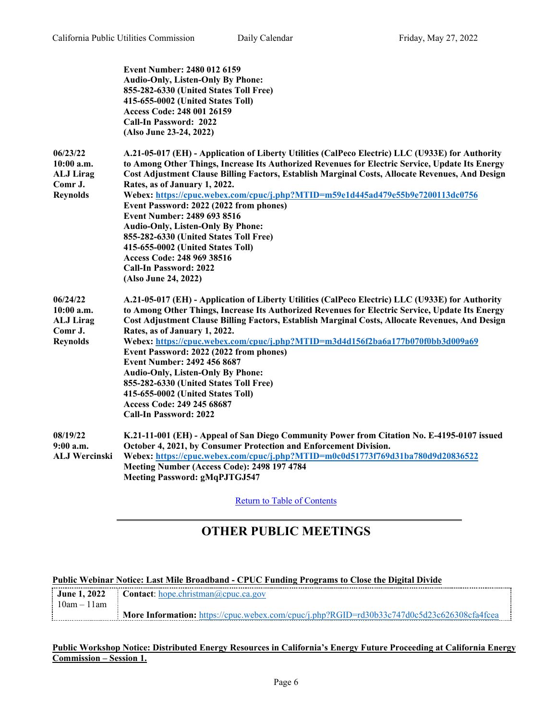|                                                                          | <b>Event Number: 2480 012 6159</b><br><b>Audio-Only, Listen-Only By Phone:</b><br>855-282-6330 (United States Toll Free)<br>415-655-0002 (United States Toll)<br>Access Code: 248 001 26159<br>Call-In Password: 2022<br>(Also June 23-24, 2022)                                                                                                                                                                                                                                                                                                                                                                                                                                                                       |
|--------------------------------------------------------------------------|------------------------------------------------------------------------------------------------------------------------------------------------------------------------------------------------------------------------------------------------------------------------------------------------------------------------------------------------------------------------------------------------------------------------------------------------------------------------------------------------------------------------------------------------------------------------------------------------------------------------------------------------------------------------------------------------------------------------|
| 06/23/22<br>10:00 a.m.<br><b>ALJ Lirag</b><br>Comr J.<br><b>Reynolds</b> | A.21-05-017 (EH) - Application of Liberty Utilities (CalPeco Electric) LLC (U933E) for Authority<br>to Among Other Things, Increase Its Authorized Revenues for Electric Service, Update Its Energy<br>Cost Adjustment Clause Billing Factors, Establish Marginal Costs, Allocate Revenues, And Design<br>Rates, as of January 1, 2022.<br>Webex: https://cpuc.webex.com/cpuc/j.php?MTID=m59e1d445ad479e55b9e7200113dc0756<br>Event Password: 2022 (2022 from phones)<br>Event Number: 2489 693 8516<br><b>Audio-Only, Listen-Only By Phone:</b><br>855-282-6330 (United States Toll Free)<br>415-655-0002 (United States Toll)<br>Access Code: 248 969 38516<br><b>Call-In Password: 2022</b><br>(Also June 24, 2022) |
| 06/24/22<br>10:00 a.m.<br><b>ALJ Lirag</b><br>Comr J.<br><b>Reynolds</b> | A.21-05-017 (EH) - Application of Liberty Utilities (CalPeco Electric) LLC (U933E) for Authority<br>to Among Other Things, Increase Its Authorized Revenues for Electric Service, Update Its Energy<br>Cost Adjustment Clause Billing Factors, Establish Marginal Costs, Allocate Revenues, And Design<br>Rates, as of January 1, 2022.<br>Webex: https://cpuc.webex.com/cpuc/j.php?MTID=m3d4d156f2ba6a177b070f0bb3d009a69<br>Event Password: 2022 (2022 from phones)<br><b>Event Number: 2492 456 8687</b><br><b>Audio-Only, Listen-Only By Phone:</b><br>855-282-6330 (United States Toll Free)<br>415-655-0002 (United States Toll)<br>Access Code: 249 245 68687<br><b>Call-In Password: 2022</b>                  |
| 08/19/22<br>$9:00$ a.m.<br><b>ALJ Wercinski</b>                          | K.21-11-001 (EH) - Appeal of San Diego Community Power from Citation No. E-4195-0107 issued<br>October 4, 2021, by Consumer Protection and Enforcement Division.<br>Webex: https://cpuc.webex.com/cpuc/j.php?MTID=m0c0d51773f769d31ba780d9d20836522<br>Meeting Number (Access Code): 2498 197 4784<br><b>Meeting Password: gMqPJTGJ547</b>                                                                                                                                                                                                                                                                                                                                                                             |

Return to Table of [Contents](#page-0-1)

# <span id="page-5-0"></span>**OTHER PUBLIC MEETINGS**

#### **Public Webinar Notice: Last Mile Broadband - CPUC Funding Programs to Close the Digital Divide**

|               | <b>June 1, 2022</b> Contact: hope.christman@cpuc.ca.gov                                           |
|---------------|---------------------------------------------------------------------------------------------------|
| : 10am – 11am |                                                                                                   |
|               | <b>More Information:</b> https://cpuc.webex.com/cpuc/i.php?RGID=rd30b33c747d0c5d23c626308cfa4fcea |

#### **Public Workshop Notice: Distributed Energy Resources in California's Energy Future Proceeding at California Energy Commission – Session 1.**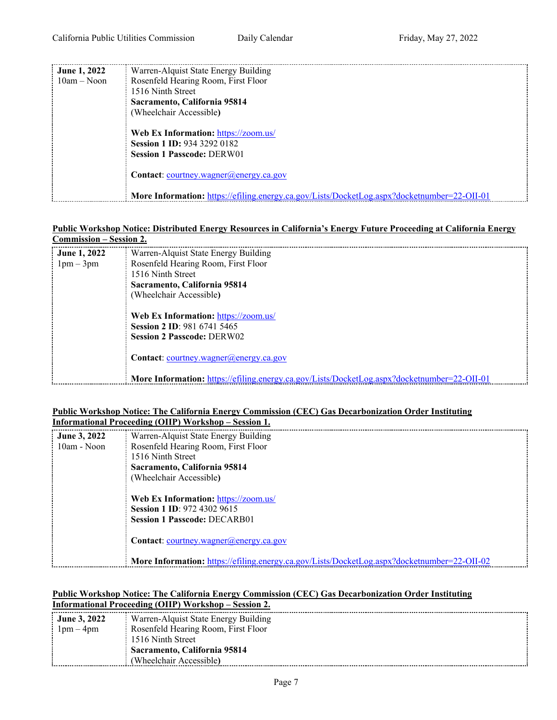| <b>June 1, 2022</b> | Warren-Alquist State Energy Building                                                               |
|---------------------|----------------------------------------------------------------------------------------------------|
| $10am - Noon$       | Rosenfeld Hearing Room, First Floor                                                                |
|                     | 1516 Ninth Street                                                                                  |
|                     | Sacramento, California 95814                                                                       |
|                     | (Wheelchair Accessible)                                                                            |
|                     | Web Ex Information: https://zoom.us/                                                               |
|                     | <b>Session 1 ID: 934 3292 0182</b>                                                                 |
|                     | <b>Session 1 Passcode: DERW01</b>                                                                  |
|                     | <b>Contact:</b> courtney.wagner $(a)$ energy.ca.gov                                                |
|                     | <b>More Information:</b> https://efiling.energy.ca.gov/Lists/DocketLog.aspx?docketnumber=22-OII-01 |

#### **Public Workshop Notice: Distributed Energy Resources in California's Energy Future Proceeding at California Energy**

| <b>Commission – Session 2.</b> |                                                                                                    |
|--------------------------------|----------------------------------------------------------------------------------------------------|
| <b>June 1, 2022</b>            | Warren-Alquist State Energy Building                                                               |
| $1pm-3pm$                      | Rosenfeld Hearing Room, First Floor                                                                |
|                                | 1516 Ninth Street                                                                                  |
|                                | Sacramento, California 95814                                                                       |
|                                | (Wheelchair Accessible)                                                                            |
|                                |                                                                                                    |
|                                | Web Ex Information: https://zoom.us/                                                               |
|                                | <b>Session 2 ID: 981 6741 5465</b>                                                                 |
|                                | <b>Session 2 Passcode: DERW02</b>                                                                  |
|                                |                                                                                                    |
|                                | <b>Contact:</b> courtney.wagner@energy.ca.gov                                                      |
|                                |                                                                                                    |
|                                | <b>More Information:</b> https://efiling.energy.ca.gov/Lists/DocketLog.aspx?docketnumber=22-OII-01 |

#### **Public Workshop Notice: The California Energy Commission (CEC) Gas Decarbonization Order Instituting Informational Proceeding (OIIP) Workshop – Session 1.**

| <b>June 3, 2022</b> | Warren-Alquist State Energy Building                                                               |
|---------------------|----------------------------------------------------------------------------------------------------|
| 10am - Noon         | Rosenfeld Hearing Room, First Floor                                                                |
|                     | 1516 Ninth Street                                                                                  |
|                     | Sacramento, California 95814                                                                       |
|                     | (Wheelchair Accessible)                                                                            |
|                     | Web Ex Information: https://zoom.us/                                                               |
|                     | <b>Session 1 ID: 972 4302 9615</b>                                                                 |
|                     | <b>Session 1 Passcode: DECARB01</b>                                                                |
|                     | <b>Contact:</b> courtney.wagner@energy.ca.gov                                                      |
|                     | <b>More Information:</b> https://efiling.energy.ca.gov/Lists/DocketLog.aspx?docketnumber=22-OII-02 |

#### **Public Workshop Notice: The California Energy Commission (CEC) Gas Decarbonization Order Instituting Informational Proceeding (OIIP) Workshop – Session 2.**

| : June 3, 2022 | Warren-Alquist State Energy Building |  |
|----------------|--------------------------------------|--|
| $1pm-4pm$      | Rosenfeld Hearing Room, First Floor  |  |
|                | : 1516 Ninth Street                  |  |
|                | Sacramento, California 95814         |  |
|                | (Wheelchair Accessible)              |  |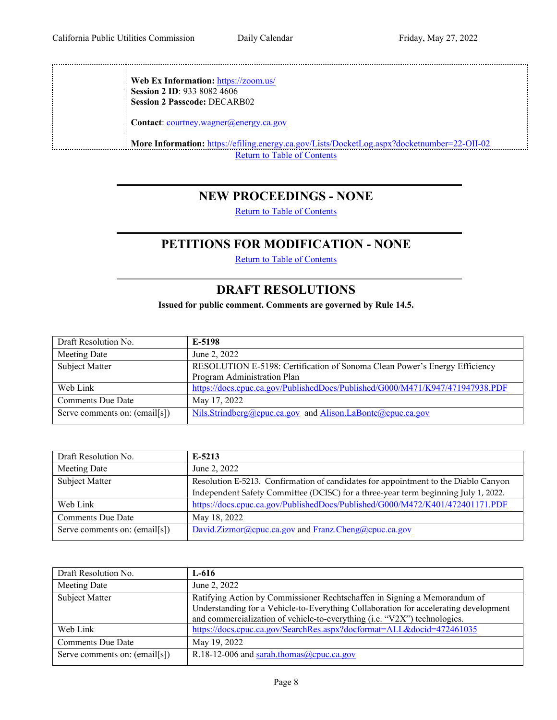**Web Ex Information:** <https://zoom.us/> **Session 2 ID**: 933 8082 4606 **Session 2 Passcode:** DECARB02

Contact: [courtney.wagner@energy.ca.gov](mailto:courtney.wagner@energy.ca.gov)

**More Information:** <https://efiling.energy.ca.gov/Lists/DocketLog.aspx?docketnumber=22-OII-02> Return to Table of [Contents](#page-0-1)

### <span id="page-7-0"></span>**NEW PROCEEDINGS - NONE**

Return to Table of [Contents](#page-0-0)

## **PETITIONS FOR MODIFICATION - NONE**

Return to Table of [Contents](#page-0-0)

## <span id="page-7-2"></span>**DRAFT RESOLUTIONS**

**Issued for public comment. Comments are governed by Rule 14.5.**

<span id="page-7-1"></span>

| Draft Resolution No.          | E-5198                                                                        |
|-------------------------------|-------------------------------------------------------------------------------|
| Meeting Date                  | June 2, 2022                                                                  |
| Subject Matter                | RESOLUTION E-5198: Certification of Sonoma Clean Power's Energy Efficiency    |
|                               | Program Administration Plan                                                   |
| Web Link                      | https://docs.cpuc.ca.gov/PublishedDocs/Published/G000/M471/K947/471947938.PDF |
| <b>Comments Due Date</b>      | May 17, 2022                                                                  |
| Serve comments on: (email[s]) | Nils.Strindberg@cpuc.ca.gov and Alison.LaBonte@cpuc.ca.gov                    |

| Draft Resolution No.          | $E-5213$                                                                           |
|-------------------------------|------------------------------------------------------------------------------------|
| Meeting Date                  | June 2, 2022                                                                       |
| <b>Subject Matter</b>         | Resolution E-5213. Confirmation of candidates for appointment to the Diablo Canyon |
|                               | Independent Safety Committee (DCISC) for a three-year term beginning July 1, 2022. |
| Web Link                      | https://docs.cpuc.ca.gov/PublishedDocs/Published/G000/M472/K401/472401171.PDF      |
| <b>Comments Due Date</b>      | May 18, 2022                                                                       |
| Serve comments on: (email[s]) | David.Zizmor@cpuc.ca.gov and Franz.Cheng@cpuc.ca.gov                               |
|                               |                                                                                    |

| Draft Resolution No.          | $L-616$                                                                              |
|-------------------------------|--------------------------------------------------------------------------------------|
| Meeting Date                  | June 2, 2022                                                                         |
| Subject Matter                | Ratifying Action by Commissioner Rechtschaffen in Signing a Memorandum of            |
|                               | Understanding for a Vehicle-to-Everything Collaboration for accelerating development |
|                               | and commercialization of vehicle-to-everything (i.e. "V2X") technologies.            |
| Web Link                      | https://docs.cpuc.ca.gov/SearchRes.aspx?docformat=ALL&docid=472461035                |
| <b>Comments Due Date</b>      | May 19, 2022                                                                         |
| Serve comments on: (email[s]) | R.18-12-006 and sarah.thomas@cpuc.ca.gov                                             |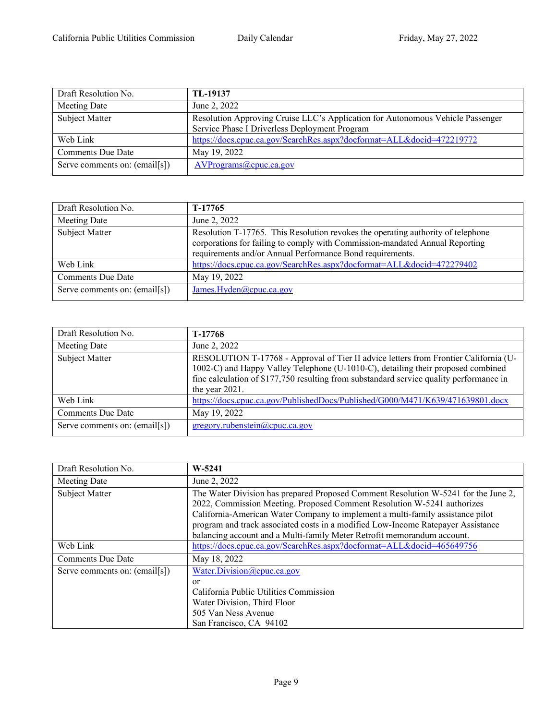| Draft Resolution No.          | TL-19137                                                                                                                        |
|-------------------------------|---------------------------------------------------------------------------------------------------------------------------------|
| Meeting Date                  | June 2, 2022                                                                                                                    |
| <b>Subject Matter</b>         | Resolution Approving Cruise LLC's Application for Autonomous Vehicle Passenger<br>Service Phase I Driverless Deployment Program |
| Web Link                      | https://docs.cpuc.ca.gov/SearchRes.aspx?docformat=ALL&docid=472219772                                                           |
| <b>Comments Due Date</b>      | May 19, 2022                                                                                                                    |
| Serve comments on: (email[s]) | AVPrograms@cpuc.ca.gov                                                                                                          |

| Draft Resolution No.          | T-17765                                                                                                                                                                                                                       |
|-------------------------------|-------------------------------------------------------------------------------------------------------------------------------------------------------------------------------------------------------------------------------|
| Meeting Date                  | June 2, 2022                                                                                                                                                                                                                  |
| Subject Matter                | Resolution T-17765. This Resolution revokes the operating authority of telephone<br>corporations for failing to comply with Commission-mandated Annual Reporting<br>requirements and/or Annual Performance Bond requirements. |
| Web Link                      | https://docs.cpuc.ca.gov/SearchRes.aspx?docformat=ALL&docid=472279402                                                                                                                                                         |
| <b>Comments Due Date</b>      | May 19, 2022                                                                                                                                                                                                                  |
| Serve comments on: (email[s]) | James.Hyden@cpuc.ca.gov                                                                                                                                                                                                       |

| Draft Resolution No.          | T-17768                                                                                                                                                                                                                                                                               |
|-------------------------------|---------------------------------------------------------------------------------------------------------------------------------------------------------------------------------------------------------------------------------------------------------------------------------------|
| Meeting Date                  | June 2, 2022                                                                                                                                                                                                                                                                          |
| Subject Matter                | RESOLUTION T-17768 - Approval of Tier II advice letters from Frontier California (U-<br>1002-C) and Happy Valley Telephone (U-1010-C), detailing their proposed combined<br>fine calculation of \$177,750 resulting from substandard service quality performance in<br>the year 2021. |
| Web Link                      | https://docs.cpuc.ca.gov/PublishedDocs/Published/G000/M471/K639/471639801.docx                                                                                                                                                                                                        |
| <b>Comments Due Date</b>      | May 19, 2022                                                                                                                                                                                                                                                                          |
| Serve comments on: (email[s]) | gregory.rubenstein@cpuc.ca.gov                                                                                                                                                                                                                                                        |

| Draft Resolution No.          | $W-5241$                                                                                                                                                                                                                                                                                                                                                                                                       |
|-------------------------------|----------------------------------------------------------------------------------------------------------------------------------------------------------------------------------------------------------------------------------------------------------------------------------------------------------------------------------------------------------------------------------------------------------------|
| Meeting Date                  | June 2, 2022                                                                                                                                                                                                                                                                                                                                                                                                   |
| Subject Matter                | The Water Division has prepared Proposed Comment Resolution W-5241 for the June 2,<br>2022, Commission Meeting. Proposed Comment Resolution W-5241 authorizes<br>California-American Water Company to implement a multi-family assistance pilot<br>program and track associated costs in a modified Low-Income Ratepayer Assistance<br>balancing account and a Multi-family Meter Retrofit memorandum account. |
| Web Link                      | https://docs.cpuc.ca.gov/SearchRes.aspx?docformat=ALL&docid=465649756                                                                                                                                                                                                                                                                                                                                          |
| <b>Comments Due Date</b>      | May 18, 2022                                                                                                                                                                                                                                                                                                                                                                                                   |
| Serve comments on: (email[s]) | Water.Division@cpuc.ca.gov<br>or<br>California Public Utilities Commission<br>Water Division, Third Floor<br>505 Van Ness Avenue<br>San Francisco, CA 94102                                                                                                                                                                                                                                                    |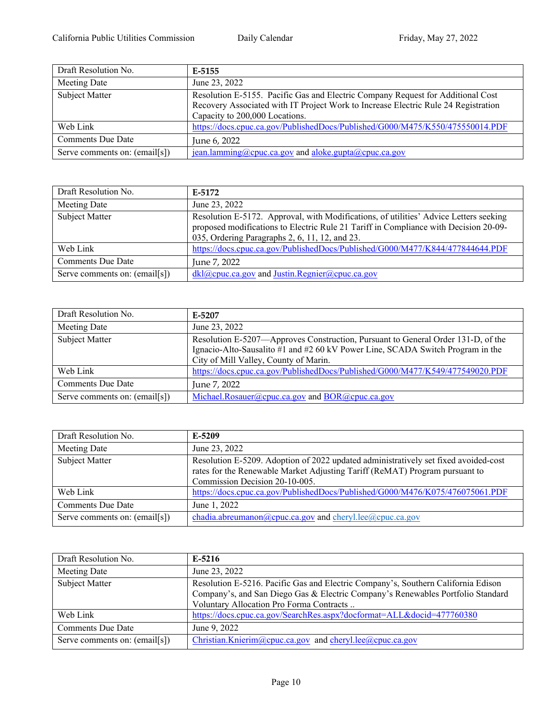| Draft Resolution No.          | E-5155                                                                                                                                                                                                  |
|-------------------------------|---------------------------------------------------------------------------------------------------------------------------------------------------------------------------------------------------------|
| Meeting Date                  | June 23, 2022                                                                                                                                                                                           |
| Subject Matter                | Resolution E-5155. Pacific Gas and Electric Company Request for Additional Cost<br>Recovery Associated with IT Project Work to Increase Electric Rule 24 Registration<br>Capacity to 200,000 Locations. |
| Web Link                      | https://docs.cpuc.ca.gov/PublishedDocs/Published/G000/M475/K550/475550014.PDF                                                                                                                           |
| <b>Comments Due Date</b>      | June 6, 2022                                                                                                                                                                                            |
| Serve comments on: (email[s]) | jean.lamming@cpuc.ca.gov and aloke.gupta@cpuc.ca.gov                                                                                                                                                    |

| Draft Resolution No.          | E-5172                                                                                                                                                                                                                          |
|-------------------------------|---------------------------------------------------------------------------------------------------------------------------------------------------------------------------------------------------------------------------------|
| Meeting Date                  | June 23, 2022                                                                                                                                                                                                                   |
| Subject Matter                | Resolution E-5172. Approval, with Modifications, of utilities' Advice Letters seeking<br>proposed modifications to Electric Rule 21 Tariff in Compliance with Decision 20-09-<br>035, Ordering Paragraphs 2, 6, 11, 12, and 23. |
| Web Link                      | https://docs.cpuc.ca.gov/PublishedDocs/Published/G000/M477/K844/477844644.PDF                                                                                                                                                   |
| <b>Comments Due Date</b>      | June 7, 2022                                                                                                                                                                                                                    |
| Serve comments on: (email[s]) | dkl@cpuc.ca.gov and Justin.Regnier@cpuc.ca.gov                                                                                                                                                                                  |

| Draft Resolution No.          | E-5207                                                                                                                                                                                                      |
|-------------------------------|-------------------------------------------------------------------------------------------------------------------------------------------------------------------------------------------------------------|
| Meeting Date                  | June 23, 2022                                                                                                                                                                                               |
| Subject Matter                | Resolution E-5207—Approves Construction, Pursuant to General Order 131-D, of the<br>Ignacio-Alto-Sausalito #1 and #2 60 kV Power Line, SCADA Switch Program in the<br>City of Mill Valley, County of Marin. |
| Web Link                      | https://docs.cpuc.ca.gov/PublishedDocs/Published/G000/M477/K549/477549020.PDF                                                                                                                               |
| <b>Comments Due Date</b>      | June 7, 2022                                                                                                                                                                                                |
| Serve comments on: (email[s]) | Michael.Rosauer@cpuc.ca.gov and BOR@cpuc.ca.gov                                                                                                                                                             |

| Draft Resolution No.          | E-5209                                                                                                                                                                                               |
|-------------------------------|------------------------------------------------------------------------------------------------------------------------------------------------------------------------------------------------------|
| Meeting Date                  | June 23, 2022                                                                                                                                                                                        |
| Subject Matter                | Resolution E-5209. Adoption of 2022 updated administratively set fixed avoided-cost<br>rates for the Renewable Market Adjusting Tariff (ReMAT) Program pursuant to<br>Commission Decision 20-10-005. |
| Web Link                      | https://docs.cpuc.ca.gov/PublishedDocs/Published/G000/M476/K075/476075061.PDF                                                                                                                        |
| <b>Comments Due Date</b>      | June 1, 2022                                                                                                                                                                                         |
| Serve comments on: (email[s]) | chadia.abreumanon@cpuc.ca.gov and cheryl.lee@cpuc.ca.gov                                                                                                                                             |

| Draft Resolution No.          | $E-5216$                                                                                                                                                                                                         |
|-------------------------------|------------------------------------------------------------------------------------------------------------------------------------------------------------------------------------------------------------------|
| Meeting Date                  | June 23, 2022                                                                                                                                                                                                    |
| Subject Matter                | Resolution E-5216. Pacific Gas and Electric Company's, Southern California Edison<br>Company's, and San Diego Gas & Electric Company's Renewables Portfolio Standard<br>Voluntary Allocation Pro Forma Contracts |
| Web Link                      | https://docs.cpuc.ca.gov/SearchRes.aspx?docformat=ALL&docid=477760380                                                                                                                                            |
| <b>Comments Due Date</b>      | June 9, 2022                                                                                                                                                                                                     |
| Serve comments on: (email[s]) | Christian.Knierim@cpuc.ca.gov and cheryl.lee@cpuc.ca.gov                                                                                                                                                         |